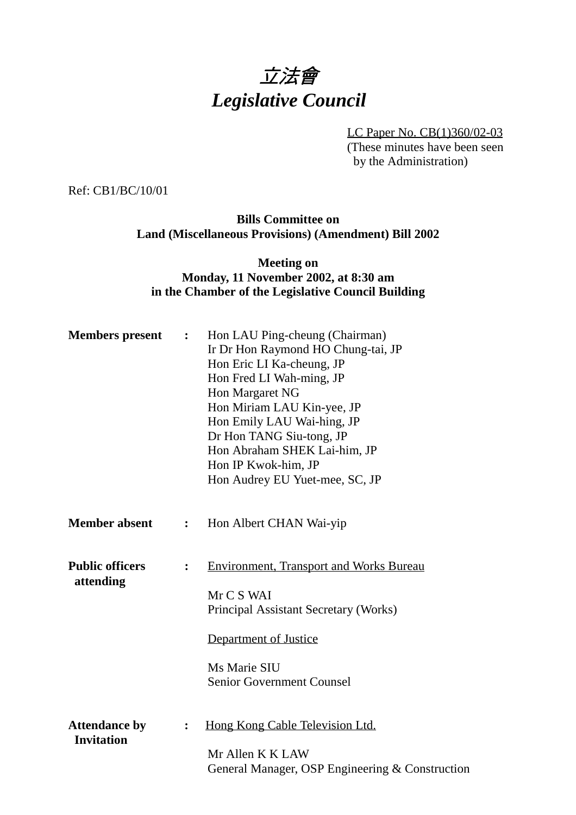# 立法會 *Legislative Council*

LC Paper No. CB(1)360/02-03

(These minutes have been seen by the Administration)

Ref: CB1/BC/10/01

## **Bills Committee on Land (Miscellaneous Provisions) (Amendment) Bill 2002**

### **Meeting on Monday, 11 November 2002, at 8:30 am in the Chamber of the Legislative Council Building**

| <b>Members</b> present                    | $\ddot{\bullet}$ | Hon LAU Ping-cheung (Chairman)<br>Ir Dr Hon Raymond HO Chung-tai, JP<br>Hon Eric LI Ka-cheung, JP<br>Hon Fred LI Wah-ming, JP<br>Hon Margaret NG<br>Hon Miriam LAU Kin-yee, JP<br>Hon Emily LAU Wai-hing, JP<br>Dr Hon TANG Siu-tong, JP<br>Hon Abraham SHEK Lai-him, JP<br>Hon IP Kwok-him, JP<br>Hon Audrey EU Yuet-mee, SC, JP |
|-------------------------------------------|------------------|-----------------------------------------------------------------------------------------------------------------------------------------------------------------------------------------------------------------------------------------------------------------------------------------------------------------------------------|
| <b>Member absent</b>                      | $\ddot{\bullet}$ | Hon Albert CHAN Wai-yip                                                                                                                                                                                                                                                                                                           |
| <b>Public officers</b><br>attending       | $\ddot{\cdot}$   | <b>Environment, Transport and Works Bureau</b><br>Mr C S WAI<br>Principal Assistant Secretary (Works)<br><b>Department of Justice</b><br>Ms Marie SIU<br><b>Senior Government Counsel</b>                                                                                                                                         |
| <b>Attendance by</b><br><b>Invitation</b> | $\ddot{\bullet}$ | Hong Kong Cable Television Ltd.<br>Mr Allen K K LAW<br>General Manager, OSP Engineering & Construction                                                                                                                                                                                                                            |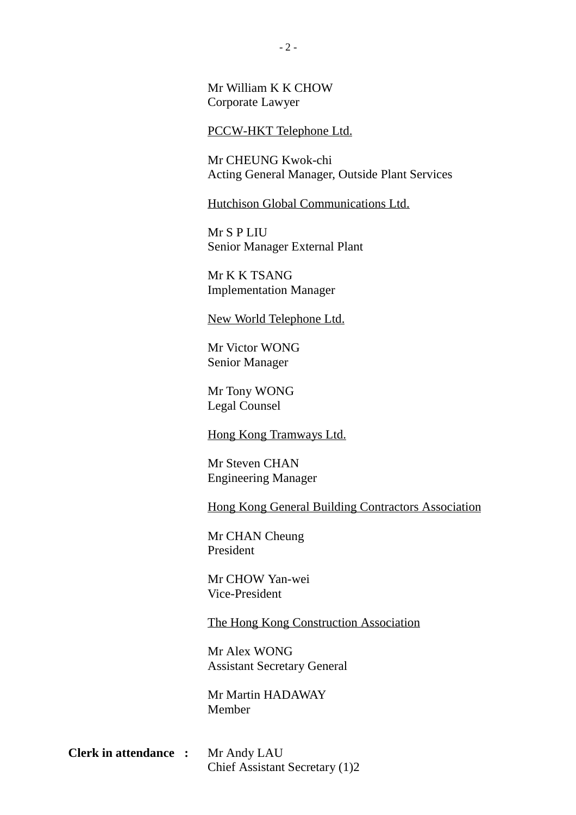Mr William K K CHOW Corporate Lawyer

#### PCCW-HKT Telephone Ltd.

Mr CHEUNG Kwok-chi Acting General Manager, Outside Plant Services

Hutchison Global Communications Ltd.

Mr S P LIU Senior Manager External Plant

Mr K K TSANG Implementation Manager

New World Telephone Ltd.

Mr Victor WONG Senior Manager

Mr Tony WONG Legal Counsel

Hong Kong Tramways Ltd.

Mr Steven CHAN Engineering Manager

Hong Kong General Building Contractors Association

Mr CHAN Cheung President

Mr CHOW Yan-wei Vice-President

The Hong Kong Construction Association

Mr Alex WONG Assistant Secretary General

Mr Martin HADAWAY Member

| <b>Clerk in attendance :</b> | Mr Andy LAU                    |  |
|------------------------------|--------------------------------|--|
|                              | Chief Assistant Secretary (1)2 |  |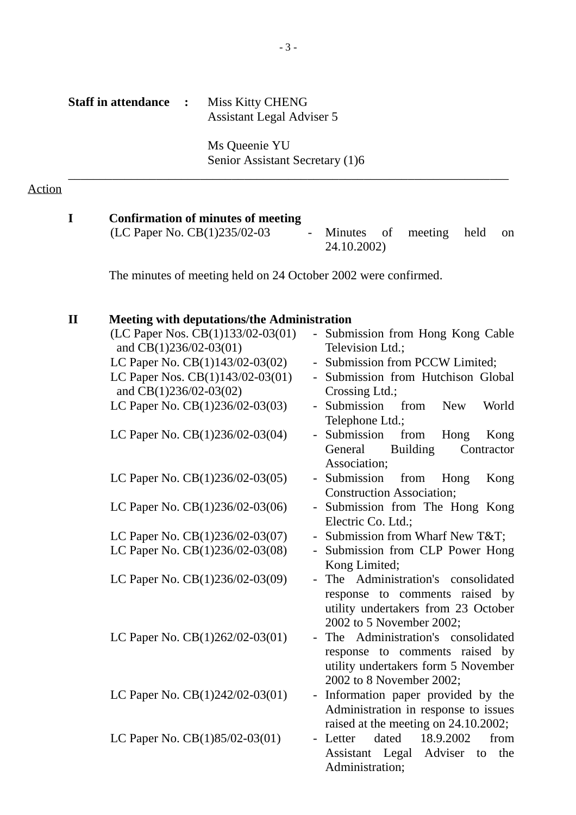| <b>Staff in attendance</b> | <b>Miss Kitty CHENG</b>   |  |
|----------------------------|---------------------------|--|
|                            | Assistant Legal Adviser 5 |  |

Ms Queenie YU Senior Assistant Secretary (1)6

\_\_\_\_\_\_\_\_\_\_\_\_\_\_\_\_\_\_\_\_\_\_\_\_\_\_\_\_\_\_\_\_\_\_\_\_\_\_\_\_\_\_\_\_\_\_\_\_\_\_\_\_\_\_\_\_\_\_\_\_\_\_\_\_\_\_\_\_\_\_

#### Action

#### **I Confirmation of minutes of meeting**

(LC Paper No. CB(1)235/02-03 - Minutes of meeting held on 24.10.2002)

The minutes of meeting held on 24 October 2002 were confirmed.

## **II Meeting with deputations/the Administration**

| - Submission from Hong Kong Cable<br>Television Ltd.;                 |
|-----------------------------------------------------------------------|
| - Submission from PCCW Limited;                                       |
| - Submission from Hutchison Global                                    |
| Crossing Ltd.;                                                        |
| - Submission<br>from<br>World<br><b>New</b>                           |
| Telephone Ltd.;                                                       |
| - Submission<br>from<br>Hong<br>Kong                                  |
| <b>Building</b><br>General<br>Contractor                              |
| Association;                                                          |
| - Submission<br>from<br>Hong<br>Kong                                  |
| <b>Construction Association;</b>                                      |
| - Submission from The Hong Kong                                       |
| Electric Co. Ltd.;                                                    |
| - Submission from Wharf New T&T                                       |
| - Submission from CLP Power Hong                                      |
| Kong Limited;                                                         |
| - The Administration's consolidated                                   |
| response to comments raised by                                        |
| utility undertakers from 23 October                                   |
| 2002 to 5 November 2002;<br>The Administration's consolidated         |
|                                                                       |
| response to comments raised by<br>utility undertakers form 5 November |
| 2002 to 8 November 2002;                                              |
| - Information paper provided by the                                   |
| Administration in response to issues                                  |
| raised at the meeting on 24.10.2002;                                  |
| dated 18.9.2002<br>Letter<br>from<br>$\blacksquare$                   |
| Assistant Legal Adviser<br>the<br>to                                  |
| Administration;                                                       |
|                                                                       |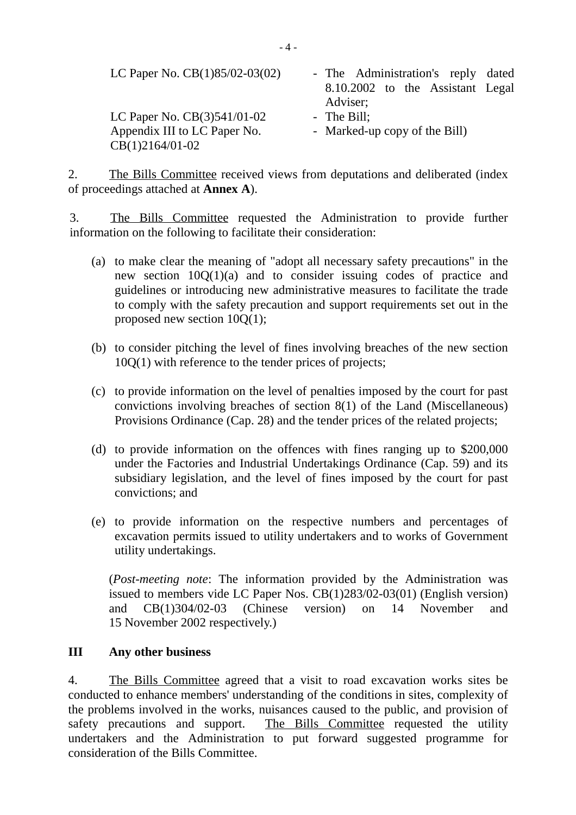| LC Paper No. CB(1)85/02-03(02)                                | - The Administration's reply dated<br>8.10.2002 to the Assistant Legal<br>Adviser; |
|---------------------------------------------------------------|------------------------------------------------------------------------------------|
| LC Paper No. $CB(3)541/01-02$<br>Appendix III to LC Paper No. | - The Bill;<br>- Marked-up copy of the Bill)                                       |
| $CB(1)2164/01-02$                                             |                                                                                    |

2. The Bills Committee received views from deputations and deliberated (index of proceedings attached at **Annex A**).

3. The Bills Committee requested the Administration to provide further information on the following to facilitate their consideration:

- (a) to make clear the meaning of "adopt all necessary safety precautions" in the new section 10Q(1)(a) and to consider issuing codes of practice and guidelines or introducing new administrative measures to facilitate the trade to comply with the safety precaution and support requirements set out in the proposed new section 10Q(1);
- (b) to consider pitching the level of fines involving breaches of the new section 10Q(1) with reference to the tender prices of projects;
- (c) to provide information on the level of penalties imposed by the court for past convictions involving breaches of section 8(1) of the Land (Miscellaneous) Provisions Ordinance (Cap. 28) and the tender prices of the related projects;
- (d) to provide information on the offences with fines ranging up to \$200,000 under the Factories and Industrial Undertakings Ordinance (Cap. 59) and its subsidiary legislation, and the level of fines imposed by the court for past convictions; and
- (e) to provide information on the respective numbers and percentages of excavation permits issued to utility undertakers and to works of Government utility undertakings.

(*Post-meeting note*: The information provided by the Administration was issued to members vide LC Paper Nos. CB(1)283/02-03(01) (English version) and CB(1)304/02-03 (Chinese version) on 14 November and 15 November 2002 respectively.)

#### **III Any other business**

4. The Bills Committee agreed that a visit to road excavation works sites be conducted to enhance members' understanding of the conditions in sites, complexity of the problems involved in the works, nuisances caused to the public, and provision of safety precautions and support. The Bills Committee requested the utility undertakers and the Administration to put forward suggested programme for consideration of the Bills Committee.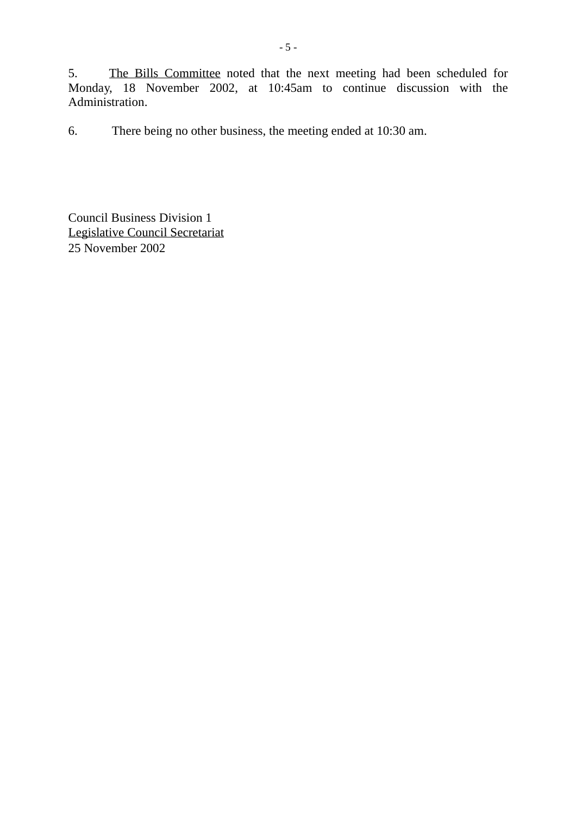5. The Bills Committee noted that the next meeting had been scheduled for Monday, 18 November 2002, at 10:45am to continue discussion with the Administration.

6. There being no other business, the meeting ended at 10:30 am.

Council Business Division 1 Legislative Council Secretariat 25 November 2002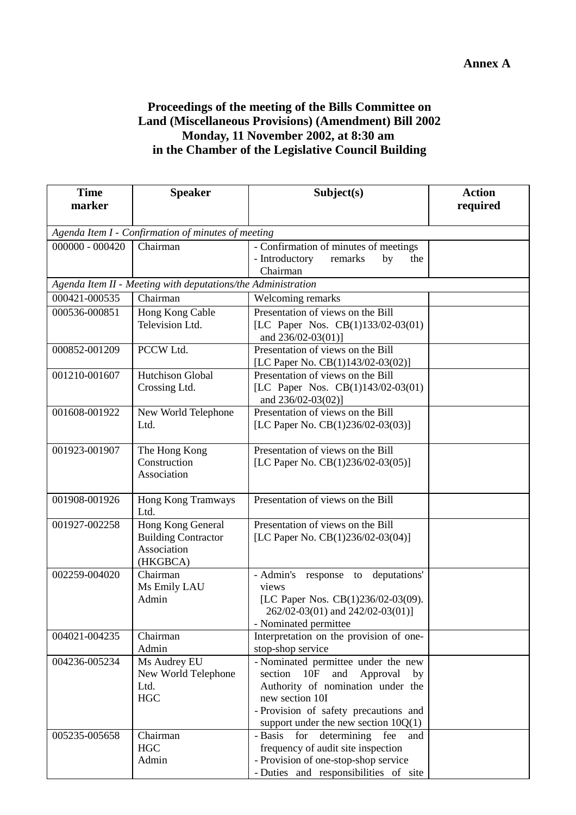## **Proceedings of the meeting of the Bills Committee on Land (Miscellaneous Provisions) (Amendment) Bill 2002 Monday, 11 November 2002, at 8:30 am in the Chamber of the Legislative Council Building**

| <b>Time</b>       | <b>Speaker</b>                                               | Subject(s)                              | <b>Action</b> |
|-------------------|--------------------------------------------------------------|-----------------------------------------|---------------|
| marker            |                                                              |                                         | required      |
|                   |                                                              |                                         |               |
|                   | Agenda Item I - Confirmation of minutes of meeting           |                                         |               |
| $000000 - 000420$ | Chairman                                                     | - Confirmation of minutes of meetings   |               |
|                   |                                                              | - Introductory<br>remarks<br>by<br>the  |               |
|                   |                                                              | Chairman                                |               |
|                   | Agenda Item II - Meeting with deputations/the Administration |                                         |               |
| 000421-000535     | Chairman                                                     | Welcoming remarks                       |               |
| 000536-000851     | Hong Kong Cable                                              | Presentation of views on the Bill       |               |
|                   | Television Ltd.                                              | [LC Paper Nos. CB(1)133/02-03(01)       |               |
|                   |                                                              | and 236/02-03(01)]                      |               |
| 000852-001209     | PCCW Ltd.                                                    | Presentation of views on the Bill       |               |
|                   |                                                              | [LC Paper No. CB(1)143/02-03(02)]       |               |
| 001210-001607     | Hutchison Global                                             | Presentation of views on the Bill       |               |
|                   | Crossing Ltd.                                                | [LC Paper Nos. CB(1)143/02-03(01)       |               |
|                   |                                                              | and 236/02-03(02)]                      |               |
| 001608-001922     | New World Telephone                                          | Presentation of views on the Bill       |               |
|                   | Ltd.                                                         | [LC Paper No. CB(1)236/02-03(03)]       |               |
|                   |                                                              |                                         |               |
| 001923-001907     | The Hong Kong                                                | Presentation of views on the Bill       |               |
|                   | Construction                                                 | [LC Paper No. CB(1)236/02-03(05)]       |               |
|                   | Association                                                  |                                         |               |
| 001908-001926     | Hong Kong Tramways                                           | Presentation of views on the Bill       |               |
|                   | Ltd.                                                         |                                         |               |
| 001927-002258     | Hong Kong General                                            | Presentation of views on the Bill       |               |
|                   | <b>Building Contractor</b>                                   | [LC Paper No. CB(1)236/02-03(04)]       |               |
|                   | Association                                                  |                                         |               |
|                   | (HKGBCA)                                                     |                                         |               |
| 002259-004020     | Chairman                                                     | - Admin's<br>response to deputations'   |               |
|                   | Ms Emily LAU                                                 | views                                   |               |
|                   | Admin                                                        | [LC Paper Nos. CB(1)236/02-03(09).      |               |
|                   |                                                              | 262/02-03(01) and 242/02-03(01)]        |               |
|                   |                                                              | - Nominated permittee                   |               |
| 004021-004235     | Chairman                                                     | Interpretation on the provision of one- |               |
|                   | Admin                                                        | stop-shop service                       |               |
| 004236-005234     | Ms Audrey EU                                                 | - Nominated permittee under the new     |               |
|                   | New World Telephone                                          | section 10F<br>and Approval<br>by       |               |
|                   | Ltd.                                                         | Authority of nomination under the       |               |
|                   | <b>HGC</b>                                                   | new section 10I                         |               |
|                   |                                                              | - Provision of safety precautions and   |               |
|                   |                                                              | support under the new section $10Q(1)$  |               |
| 005235-005658     | Chairman                                                     | - Basis<br>for determining fee<br>and   |               |
|                   | <b>HGC</b>                                                   | frequency of audit site inspection      |               |
|                   | Admin                                                        | - Provision of one-stop-shop service    |               |
|                   |                                                              | - Duties and responsibilities of site   |               |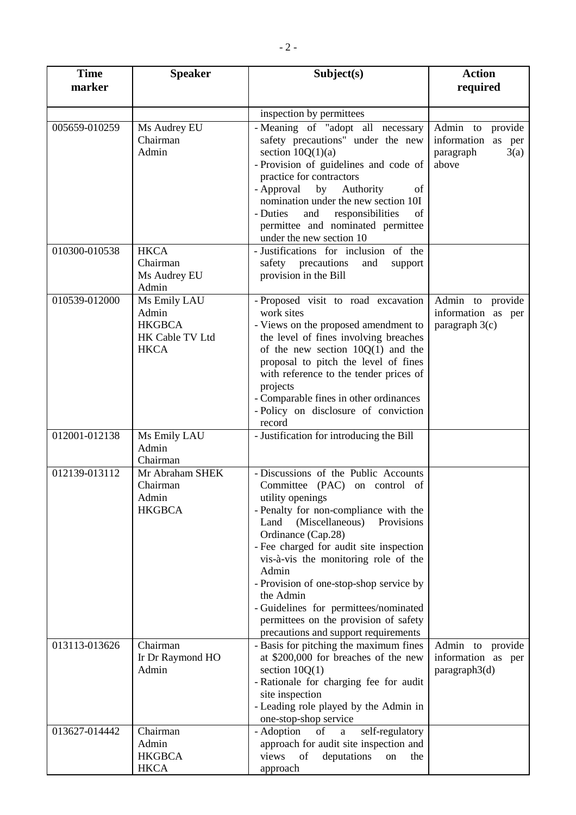| <b>Time</b>   | <b>Speaker</b>                                                           | Subject(s)                                                                                                                                                                                                                                                                                                                                                                                                                                                                      | <b>Action</b>                                                        |
|---------------|--------------------------------------------------------------------------|---------------------------------------------------------------------------------------------------------------------------------------------------------------------------------------------------------------------------------------------------------------------------------------------------------------------------------------------------------------------------------------------------------------------------------------------------------------------------------|----------------------------------------------------------------------|
| marker        |                                                                          |                                                                                                                                                                                                                                                                                                                                                                                                                                                                                 | required                                                             |
|               |                                                                          | inspection by permittees                                                                                                                                                                                                                                                                                                                                                                                                                                                        |                                                                      |
| 005659-010259 | Ms Audrey EU<br>Chairman<br>Admin                                        | - Meaning of "adopt all necessary<br>safety precautions" under the new<br>section $10Q(1)(a)$<br>- Provision of guidelines and code of<br>practice for contractors<br>- Approval by Authority<br>of<br>nomination under the new section 10I<br>- Duties<br>and<br>responsibilities<br>of<br>permittee and nominated permittee<br>under the new section 10                                                                                                                       | Admin to provide<br>information as per<br>3(a)<br>paragraph<br>above |
| 010300-010538 | <b>HKCA</b><br>Chairman<br>Ms Audrey EU<br>Admin                         | - Justifications for inclusion of the<br>safety precautions<br>and<br>support<br>provision in the Bill                                                                                                                                                                                                                                                                                                                                                                          |                                                                      |
| 010539-012000 | Ms Emily LAU<br>Admin<br><b>HKGBCA</b><br>HK Cable TV Ltd<br><b>HKCA</b> | - Proposed visit to road excavation<br>work sites<br>- Views on the proposed amendment to<br>the level of fines involving breaches<br>of the new section $10Q(1)$ and the<br>proposal to pitch the level of fines<br>with reference to the tender prices of<br>projects<br>- Comparable fines in other ordinances<br>- Policy on disclosure of conviction<br>record                                                                                                             | Admin to provide<br>information as per<br>paragraph $3(c)$           |
| 012001-012138 | Ms Emily LAU<br>Admin<br>Chairman                                        | - Justification for introducing the Bill                                                                                                                                                                                                                                                                                                                                                                                                                                        |                                                                      |
| 012139-013112 | Mr Abraham SHEK<br>Chairman<br>Admin<br><b>HKGBCA</b>                    | - Discussions of the Public Accounts<br>Committee (PAC) on control of<br>utility openings<br>- Penalty for non-compliance with the<br>(Miscellaneous)<br>Provisions<br>Land<br>Ordinance (Cap.28)<br>- Fee charged for audit site inspection<br>vis-à-vis the monitoring role of the<br>Admin<br>- Provision of one-stop-shop service by<br>the Admin<br>- Guidelines for permittees/nominated<br>permittees on the provision of safety<br>precautions and support requirements |                                                                      |
| 013113-013626 | Chairman<br>Ir Dr Raymond HO<br>Admin                                    | - Basis for pitching the maximum fines<br>at \$200,000 for breaches of the new<br>section $10Q(1)$<br>- Rationale for charging fee for audit<br>site inspection<br>- Leading role played by the Admin in<br>one-stop-shop service                                                                                                                                                                                                                                               | Admin to provide<br>information as per<br>paragraph3(d)              |
| 013627-014442 | Chairman<br>Admin<br><b>HKGBCA</b><br><b>HKCA</b>                        | - Adoption<br>self-regulatory<br>of<br>$\mathbf{a}$<br>approach for audit site inspection and<br>views<br>deputations<br>of<br>the<br>on<br>approach                                                                                                                                                                                                                                                                                                                            |                                                                      |